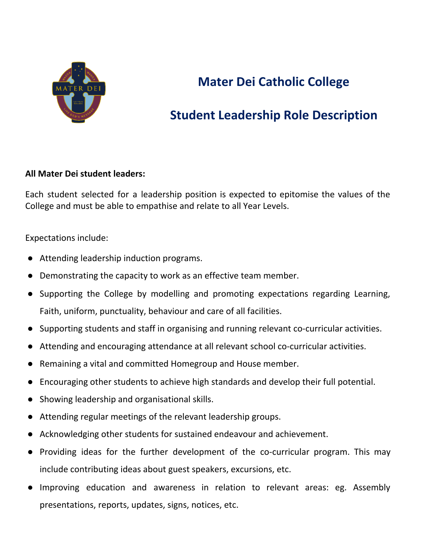

#### **Student Leadership Role Description**

#### **All Mater Dei student leaders:**

Each student selected for a leadership position is expected to epitomise the values of the College and must be able to empathise and relate to all Year Levels.

Expectations include:

- Attending leadership induction programs.
- Demonstrating the capacity to work as an effective team member.
- Supporting the College by modelling and promoting expectations regarding Learning, Faith, uniform, punctuality, behaviour and care of all facilities.
- Supporting students and staff in organising and running relevant co-curricular activities.
- Attending and encouraging attendance at all relevant school co-curricular activities.
- Remaining a vital and committed Homegroup and House member.
- Encouraging other students to achieve high standards and develop their full potential.
- Showing leadership and organisational skills.
- Attending regular meetings of the relevant leadership groups.
- Acknowledging other students for sustained endeavour and achievement.
- Providing ideas for the further development of the co-curricular program. This may include contributing ideas about guest speakers, excursions, etc.
- Improving education and awareness in relation to relevant areas: eg. Assembly presentations, reports, updates, signs, notices, etc.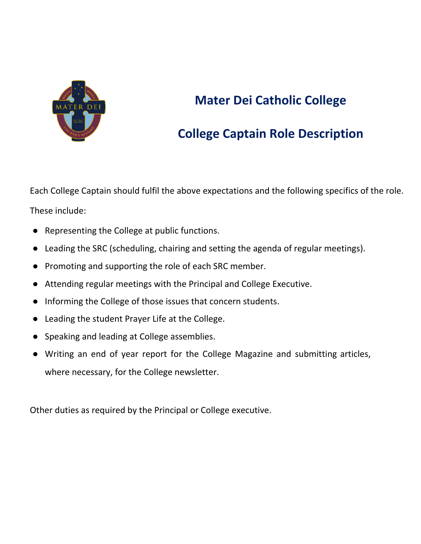

## **College Captain Role Description**

Each College Captain should fulfil the above expectations and the following specifics of the role. These include:

- Representing the College at public functions.
- Leading the SRC (scheduling, chairing and setting the agenda of regular meetings).
- Promoting and supporting the role of each SRC member.
- Attending regular meetings with the Principal and College Executive.
- Informing the College of those issues that concern students.
- Leading the student Prayer Life at the College.
- Speaking and leading at College assemblies.
- Writing an end of year report for the College Magazine and submitting articles, where necessary, for the College newsletter.

Other duties as required by the Principal or College executive.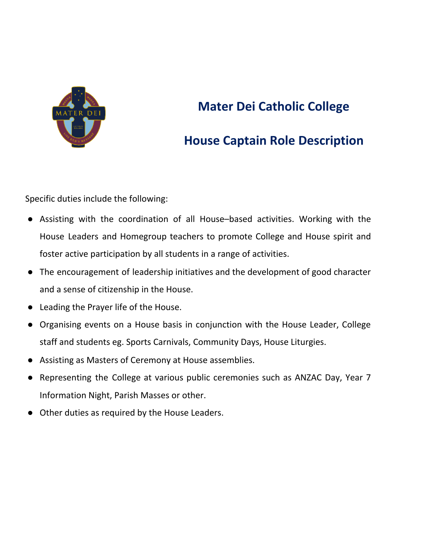

#### **House Captain Role Description**

Specific duties include the following:

- Assisting with the coordination of all House–based activities. Working with the House Leaders and Homegroup teachers to promote College and House spirit and foster active participation by all students in a range of activities.
- The encouragement of leadership initiatives and the development of good character and a sense of citizenship in the House.
- Leading the Prayer life of the House.
- Organising events on a House basis in conjunction with the House Leader, College staff and students eg. Sports Carnivals, Community Days, House Liturgies.
- Assisting as Masters of Ceremony at House assemblies.
- Representing the College at various public ceremonies such as ANZAC Day, Year 7 Information Night, Parish Masses or other.
- Other duties as required by the House Leaders.